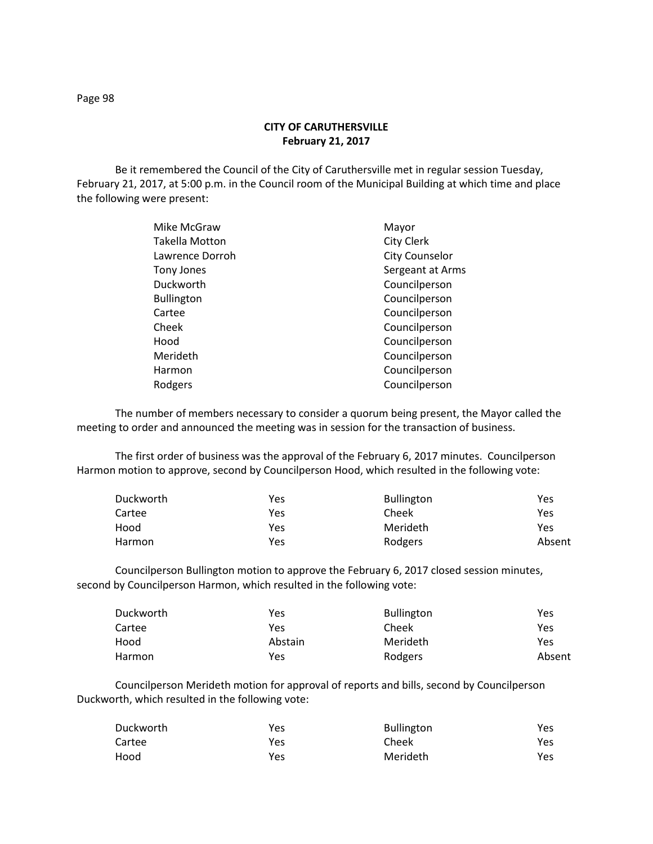Be it remembered the Council of the City of Caruthersville met in regular session Tuesday, February 21, 2017, at 5:00 p.m. in the Council room of the Municipal Building at which time and place the following were present:

| Mike McGraw       | Mayor                 |
|-------------------|-----------------------|
| Takella Motton    | <b>City Clerk</b>     |
| Lawrence Dorroh   | <b>City Counselor</b> |
| Tony Jones        | Sergeant at Arms      |
| Duckworth         | Councilperson         |
| <b>Bullington</b> | Councilperson         |
| Cartee            | Councilperson         |
| Cheek             | Councilperson         |
| Hood              | Councilperson         |
| Merideth          | Councilperson         |
| Harmon            | Councilperson         |
| Rodgers           | Councilperson         |
|                   |                       |

The number of members necessary to consider a quorum being present, the Mayor called the meeting to order and announced the meeting was in session for the transaction of business.

The first order of business was the approval of the February 6, 2017 minutes. Councilperson Harmon motion to approve, second by Councilperson Hood, which resulted in the following vote:

| Duckworth | Yes | <b>Bullington</b> | Yes    |
|-----------|-----|-------------------|--------|
| Cartee    | Yes | Cheek             | Yes    |
| Hood      | Yes | Merideth          | Yes    |
| Harmon    | Yes | Rodgers           | Absent |

Councilperson Bullington motion to approve the February 6, 2017 closed session minutes, second by Councilperson Harmon, which resulted in the following vote:

| Duckworth | Yes     | <b>Bullington</b> | Yes    |
|-----------|---------|-------------------|--------|
| Cartee    | Yes     | Cheek             | Yes    |
| Hood      | Abstain | Merideth          | Yes    |
| Harmon    | Yes     | Rodgers           | Absent |

Councilperson Merideth motion for approval of reports and bills, second by Councilperson Duckworth, which resulted in the following vote:

| Duckworth | Yes | <b>Bullington</b> | Yes |
|-----------|-----|-------------------|-----|
| Cartee    | Yes | Cheek             | Yes |
| Hood      | Yes | Merideth          | Yes |

Page 98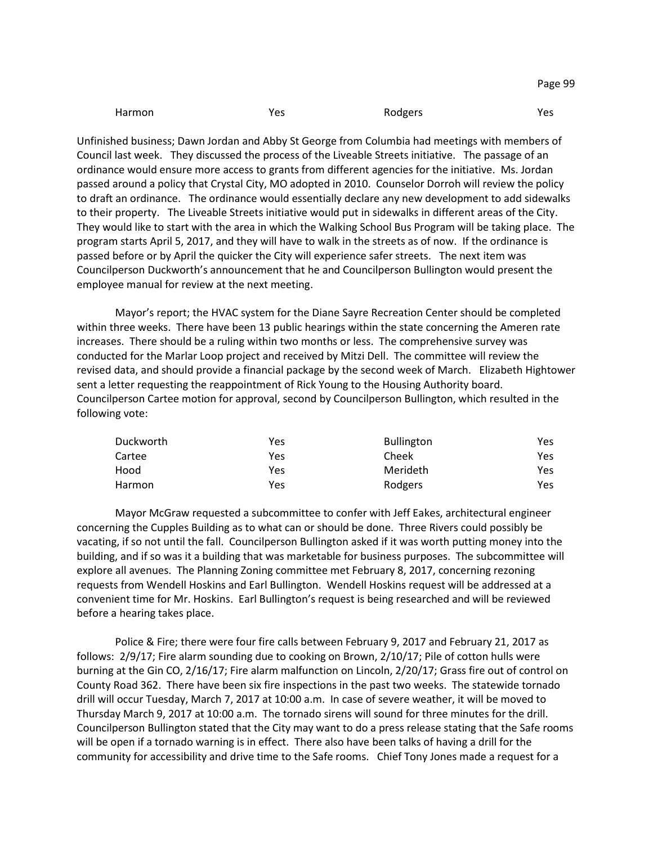| Harmon<br>Yes | Rodgers | Yes |
|---------------|---------|-----|
|---------------|---------|-----|

Unfinished business; Dawn Jordan and Abby St George from Columbia had meetings with members of Council last week. They discussed the process of the Liveable Streets initiative. The passage of an ordinance would ensure more access to grants from different agencies for the initiative. Ms. Jordan passed around a policy that Crystal City, MO adopted in 2010. Counselor Dorroh will review the policy to draft an ordinance. The ordinance would essentially declare any new development to add sidewalks to their property. The Liveable Streets initiative would put in sidewalks in different areas of the City. They would like to start with the area in which the Walking School Bus Program will be taking place. The program starts April 5, 2017, and they will have to walk in the streets as of now. If the ordinance is passed before or by April the quicker the City will experience safer streets. The next item was Councilperson Duckworth's announcement that he and Councilperson Bullington would present the employee manual for review at the next meeting.

Mayor's report; the HVAC system for the Diane Sayre Recreation Center should be completed within three weeks. There have been 13 public hearings within the state concerning the Ameren rate increases. There should be a ruling within two months or less. The comprehensive survey was conducted for the Marlar Loop project and received by Mitzi Dell. The committee will review the revised data, and should provide a financial package by the second week of March. Elizabeth Hightower sent a letter requesting the reappointment of Rick Young to the Housing Authority board. Councilperson Cartee motion for approval, second by Councilperson Bullington, which resulted in the following vote:

| Duckworth | Yes | <b>Bullington</b> | Yes |
|-----------|-----|-------------------|-----|
| Cartee    | Yes | Cheek             | Yes |
| Hood      | Yes | Merideth          | Yes |
| Harmon    | Yes | Rodgers           | Yes |

Mayor McGraw requested a subcommittee to confer with Jeff Eakes, architectural engineer concerning the Cupples Building as to what can or should be done. Three Rivers could possibly be vacating, if so not until the fall. Councilperson Bullington asked if it was worth putting money into the building, and if so was it a building that was marketable for business purposes. The subcommittee will explore all avenues. The Planning Zoning committee met February 8, 2017, concerning rezoning requests from Wendell Hoskins and Earl Bullington. Wendell Hoskins request will be addressed at a convenient time for Mr. Hoskins. Earl Bullington's request is being researched and will be reviewed before a hearing takes place.

Police & Fire; there were four fire calls between February 9, 2017 and February 21, 2017 as follows: 2/9/17; Fire alarm sounding due to cooking on Brown, 2/10/17; Pile of cotton hulls were burning at the Gin CO, 2/16/17; Fire alarm malfunction on Lincoln, 2/20/17; Grass fire out of control on County Road 362. There have been six fire inspections in the past two weeks. The statewide tornado drill will occur Tuesday, March 7, 2017 at 10:00 a.m. In case of severe weather, it will be moved to Thursday March 9, 2017 at 10:00 a.m. The tornado sirens will sound for three minutes for the drill. Councilperson Bullington stated that the City may want to do a press release stating that the Safe rooms will be open if a tornado warning is in effect. There also have been talks of having a drill for the community for accessibility and drive time to the Safe rooms. Chief Tony Jones made a request for a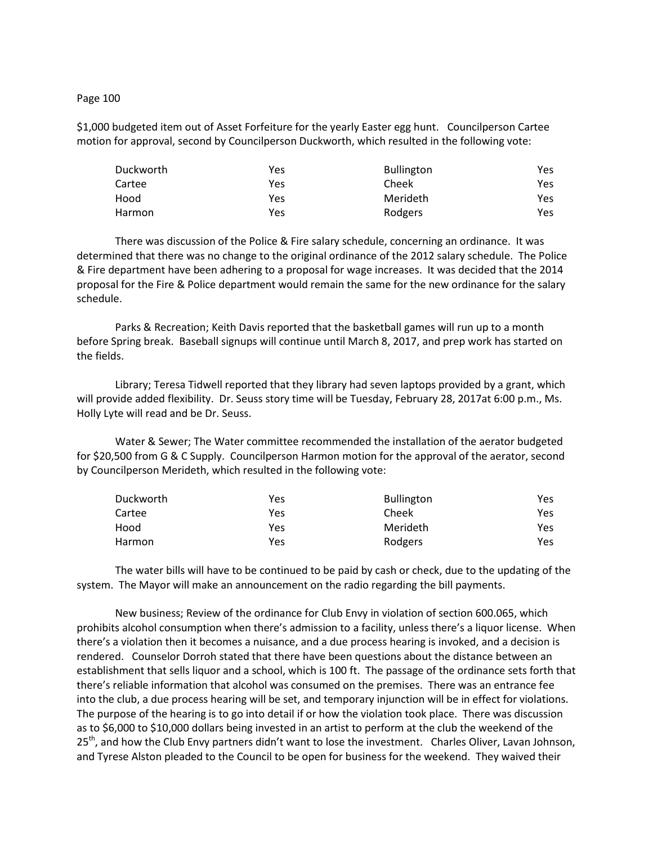## Page 100

\$1,000 budgeted item out of Asset Forfeiture for the yearly Easter egg hunt. Councilperson Cartee motion for approval, second by Councilperson Duckworth, which resulted in the following vote:

| Duckworth | Yes | <b>Bullington</b> | Yes. |
|-----------|-----|-------------------|------|
| Cartee    | Yes | Cheek             | Yes. |
| Hood      | Yes | Merideth          | Yes. |
| Harmon    | Yes | Rodgers           | Yes. |

There was discussion of the Police & Fire salary schedule, concerning an ordinance. It was determined that there was no change to the original ordinance of the 2012 salary schedule. The Police & Fire department have been adhering to a proposal for wage increases. It was decided that the 2014 proposal for the Fire & Police department would remain the same for the new ordinance for the salary schedule.

Parks & Recreation; Keith Davis reported that the basketball games will run up to a month before Spring break. Baseball signups will continue until March 8, 2017, and prep work has started on the fields.

Library; Teresa Tidwell reported that they library had seven laptops provided by a grant, which will provide added flexibility. Dr. Seuss story time will be Tuesday, February 28, 2017at 6:00 p.m., Ms. Holly Lyte will read and be Dr. Seuss.

Water & Sewer; The Water committee recommended the installation of the aerator budgeted for \$20,500 from G & C Supply. Councilperson Harmon motion for the approval of the aerator, second by Councilperson Merideth, which resulted in the following vote:

| Duckworth | Yes | <b>Bullington</b> | Yes |
|-----------|-----|-------------------|-----|
| Cartee    | Yes | Cheek             | Yes |
| Hood      | Yes | Merideth          | Yes |
| Harmon    | Yes | Rodgers           | Yes |

The water bills will have to be continued to be paid by cash or check, due to the updating of the system. The Mayor will make an announcement on the radio regarding the bill payments.

New business; Review of the ordinance for Club Envy in violation of section 600.065, which prohibits alcohol consumption when there's admission to a facility, unless there's a liquor license. When there's a violation then it becomes a nuisance, and a due process hearing is invoked, and a decision is rendered. Counselor Dorroh stated that there have been questions about the distance between an establishment that sells liquor and a school, which is 100 ft. The passage of the ordinance sets forth that there's reliable information that alcohol was consumed on the premises. There was an entrance fee into the club, a due process hearing will be set, and temporary injunction will be in effect for violations. The purpose of the hearing is to go into detail if or how the violation took place. There was discussion as to \$6,000 to \$10,000 dollars being invested in an artist to perform at the club the weekend of the 25<sup>th</sup>, and how the Club Envy partners didn't want to lose the investment. Charles Oliver, Lavan Johnson, and Tyrese Alston pleaded to the Council to be open for business for the weekend. They waived their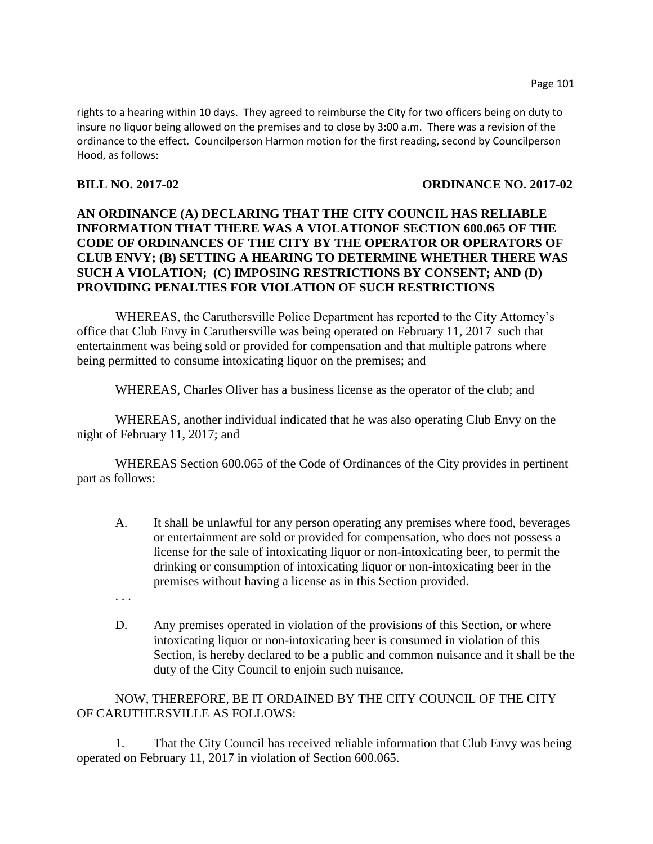rights to a hearing within 10 days. They agreed to reimburse the City for two officers being on duty to insure no liquor being allowed on the premises and to close by 3:00 a.m. There was a revision of the ordinance to the effect. Councilperson Harmon motion for the first reading, second by Councilperson Hood, as follows:

## **BILL NO. 2017-02 ORDINANCE NO. 2017-02**

## **AN ORDINANCE (A) DECLARING THAT THE CITY COUNCIL HAS RELIABLE INFORMATION THAT THERE WAS A VIOLATIONOF SECTION 600.065 OF THE CODE OF ORDINANCES OF THE CITY BY THE OPERATOR OR OPERATORS OF CLUB ENVY; (B) SETTING A HEARING TO DETERMINE WHETHER THERE WAS SUCH A VIOLATION; (C) IMPOSING RESTRICTIONS BY CONSENT; AND (D) PROVIDING PENALTIES FOR VIOLATION OF SUCH RESTRICTIONS**

WHEREAS, the Caruthersville Police Department has reported to the City Attorney's office that Club Envy in Caruthersville was being operated on February 11, 2017 such that entertainment was being sold or provided for compensation and that multiple patrons where being permitted to consume intoxicating liquor on the premises; and

WHEREAS, Charles Oliver has a business license as the operator of the club; and

WHEREAS, another individual indicated that he was also operating Club Envy on the night of February 11, 2017; and

WHEREAS Section 600.065 of the Code of Ordinances of the City provides in pertinent part as follows:

- A. It shall be unlawful for any person operating any premises where food, beverages or entertainment are sold or provided for compensation, who does not possess a license for the sale of intoxicating liquor or non-intoxicating beer, to permit the drinking or consumption of intoxicating liquor or non-intoxicating beer in the premises without having a license as in this Section provided.
- . . .
- D. Any premises operated in violation of the provisions of this Section, or where intoxicating liquor or non-intoxicating beer is consumed in violation of this Section, is hereby declared to be a public and common nuisance and it shall be the duty of the City Council to enjoin such nuisance.

NOW, THEREFORE, BE IT ORDAINED BY THE CITY COUNCIL OF THE CITY OF CARUTHERSVILLE AS FOLLOWS:

1. That the City Council has received reliable information that Club Envy was being operated on February 11, 2017 in violation of Section 600.065.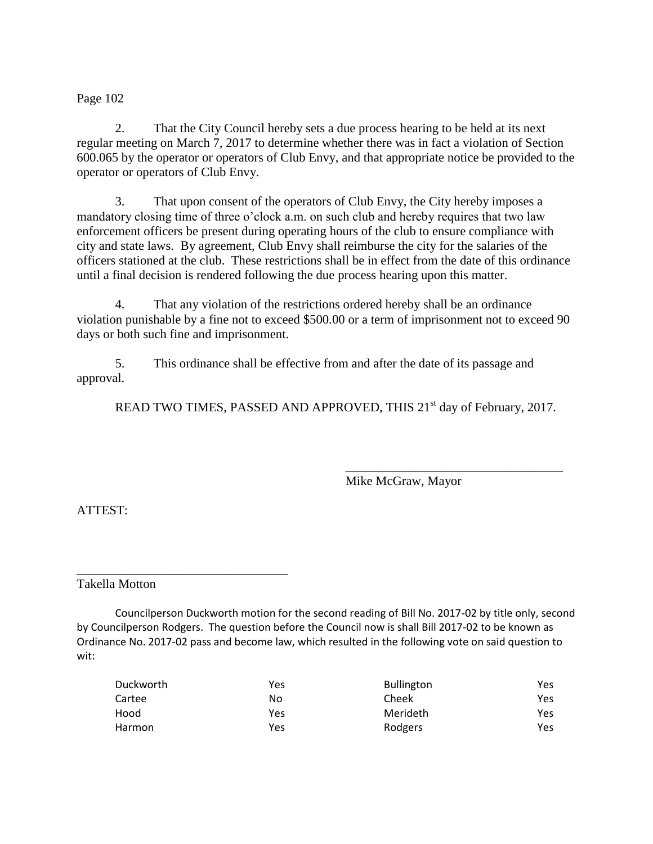Page 102

2. That the City Council hereby sets a due process hearing to be held at its next regular meeting on March 7, 2017 to determine whether there was in fact a violation of Section 600.065 by the operator or operators of Club Envy, and that appropriate notice be provided to the operator or operators of Club Envy.

3. That upon consent of the operators of Club Envy, the City hereby imposes a mandatory closing time of three o'clock a.m. on such club and hereby requires that two law enforcement officers be present during operating hours of the club to ensure compliance with city and state laws. By agreement, Club Envy shall reimburse the city for the salaries of the officers stationed at the club. These restrictions shall be in effect from the date of this ordinance until a final decision is rendered following the due process hearing upon this matter.

4. That any violation of the restrictions ordered hereby shall be an ordinance violation punishable by a fine not to exceed \$500.00 or a term of imprisonment not to exceed 90 days or both such fine and imprisonment.

5. This ordinance shall be effective from and after the date of its passage and approval.

READ TWO TIMES, PASSED AND APPROVED, THIS 21<sup>st</sup> day of February, 2017.

Mike McGraw, Mayor

\_\_\_\_\_\_\_\_\_\_\_\_\_\_\_\_\_\_\_\_\_\_\_\_\_\_\_\_\_\_\_\_\_\_

ATTEST:

Takella Motton

\_\_\_\_\_\_\_\_\_\_\_\_\_\_\_\_\_\_\_\_\_\_\_\_\_\_\_\_\_\_\_\_\_

Councilperson Duckworth motion for the second reading of Bill No. 2017-02 by title only, second by Councilperson Rodgers. The question before the Council now is shall Bill 2017-02 to be known as Ordinance No. 2017-02 pass and become law, which resulted in the following vote on said question to wit:

| Duckworth | Yes | <b>Bullington</b> | Yes |
|-----------|-----|-------------------|-----|
| Cartee    | No  | Cheek             | Yes |
| Hood      | Yes | Merideth          | Yes |
| Harmon    | Yes | Rodgers           | Yes |